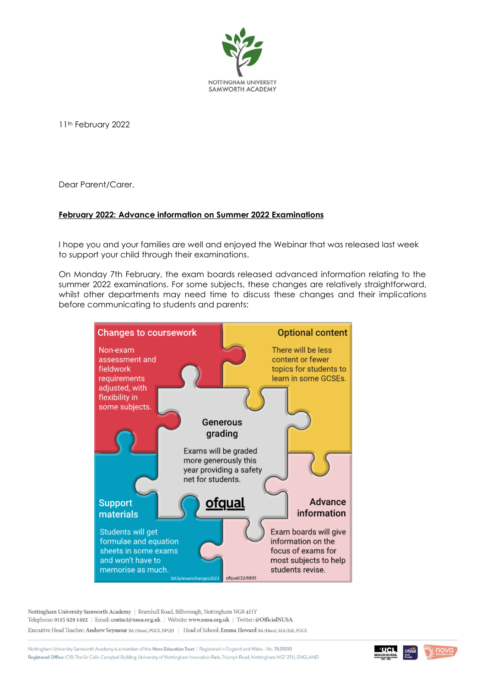

11<sup>th</sup> February 2022

Dear Parent/Carer,

## **February 2022: Advance information on Summer 2022 Examinations**

I hope you and your families are well and enjoyed the Webinar that was released last week to support your child through their examinations.

On Monday 7th February, the exam boards released advanced information relating to the summer 2022 examinations. For some subjects, these changes are relatively straightforward, whilst other departments may need time to discuss these changes and their implications before communicating to students and parents:



Nottingham University Samworth Academy | Bramhall Road, Bilborough, Nottingham NG8 4HY Telephone: 0115 929 1492 | Email: contact@nusa.org.uk | Website: www.nusa.org.uk | Twitter: @OfficialNUSA Executive Head Teacher: Andrew Seymour BA (Hons), PGCE, NPQH | Head of School: Emma Howard BA (Hons), MA (Ed), PGCE

Nottingham University Samworth Academy is a member of the Nova Education Trust | Registered in England and Wales-No. 7635510 Registered Office: C19, The Sir Colin Campbell Building, University of Nottingham Innovation Park, Triumph Road, Nottingham NG7 2TU, ENGLAND